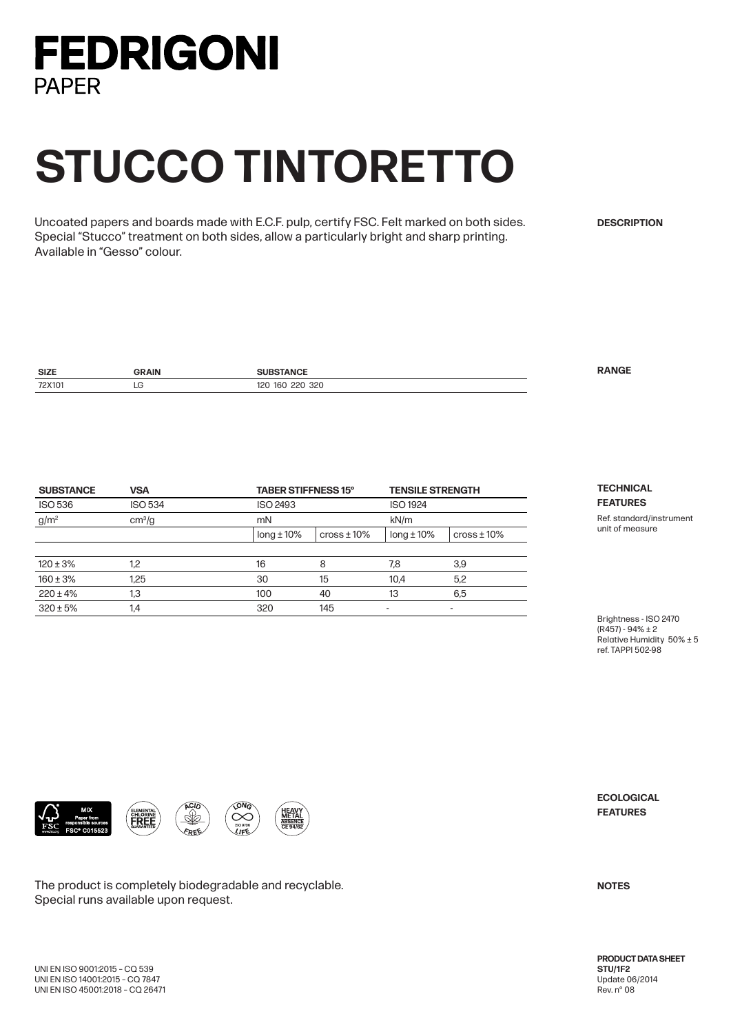## **FEDRIGONI PAPFR**

## **STUCCO TINTORETTO**

Uncoated papers and boards made with E.C.F. pulp, certify FSC. Felt marked on both sides. Special "Stucco" treatment on both sides, allow a particularly bright and sharp printing. Available in "Gesso" colour.

**DESCRIPTION**

| <b>SIZE</b> | GRAIN | <b>ISTANCE</b>           |  |
|-------------|-------|--------------------------|--|
| 72X101      | LG    | 320<br>220<br>160<br>120 |  |

| <b>SUBSTANCE</b> | <b>VSA</b>         |                 | <b>TABER STIFFNESS 15°</b> |                          | <b>TENSILE STRENGTH</b> |  |
|------------------|--------------------|-----------------|----------------------------|--------------------------|-------------------------|--|
| <b>ISO 536</b>   | <b>ISO 534</b>     | <b>ISO 2493</b> |                            |                          | <b>ISO 1924</b>         |  |
| g/m <sup>2</sup> | cm <sup>3</sup> /g | mN              |                            |                          | kN/m                    |  |
|                  |                    | $long \pm 10\%$ | $\cos$ 10%                 | $long \pm 10\%$          | cross $±10\%$           |  |
|                  |                    |                 |                            |                          |                         |  |
| $120 \pm 3\%$    | 1,2                | 16              | 8                          | 7,8                      | 3,9                     |  |
| $160 \pm 3\%$    | 1,25               | 30              | 15                         | 10,4                     | 5,2                     |  |
| $220 \pm 4\%$    | 1,3                | 100             | 40                         | 13                       | 6,5                     |  |
| $320 \pm 5\%$    | 1,4                | 320             | 145                        | $\overline{\phantom{a}}$ |                         |  |
|                  |                    |                 |                            |                          |                         |  |

**TECHNICAL FEATURES**

Ref. standard/instrument unit of measure

Brightness - ISO 2470 (R457) - 94% ± 2 Relative Humidity 50% ± 5 ref. TAPPI 502-98





The product is completely biodegradable and recyclable. Special runs available upon request.

**ECOLOGICAL FEATURES**

**NOTES**

**PRODUCT DATA SHEET STU/1F2** Update 06/2014 Rev. n° 08